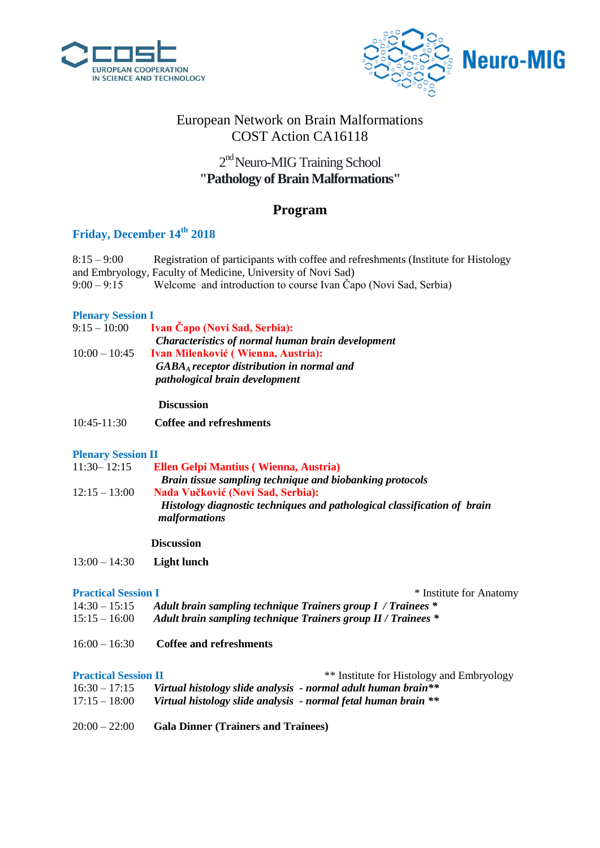



## European Network on Brain Malformations COST Action CA16118

## 2<sup>nd</sup> Neuro-MIG Training School **"Pathology of Brain Malformations"**

## **Program**

# **Friday, December 14th 2018**

| $8:15 - 9:00$ | Registration of participants with coffee and refreshments (Institute for Histology |
|---------------|------------------------------------------------------------------------------------|
|               | and Embryology, Faculty of Medicine, University of Novi Sad)                       |
| $9:00 - 9:15$ | Welcome and introduction to course Ivan Čapo (Novi Sad, Serbia)                    |

### **Plenary Session I**

| $9:15 - 10:00$  | <b>Ivan Capo (Novi Sad, Serbia):</b>                        |
|-----------------|-------------------------------------------------------------|
|                 | <b>Characteristics of normal human brain development</b>    |
| $10:00 - 10:45$ | Ivan Milenković (Wienna, Austria):                          |
|                 | $GABA_A \, receptor \, distribution \, in \, normal \, and$ |
|                 | pathological brain development                              |

### **Discussion**

10:45-11:30 **Coffee and refreshments**

### **Plenary Session II**

| $11:30 - 12:15$ | <b>Ellen Gelpi Mantius (Wienna, Austria)</b>                                              |
|-----------------|-------------------------------------------------------------------------------------------|
|                 | Brain tissue sampling technique and biobanking protocols                                  |
| $12:15 - 13:00$ | <b>Nada Vučković (Novi Sad, Serbia):</b>                                                  |
|                 | Histology diagnostic techniques and pathological classification of brain<br>malformations |
|                 |                                                                                           |

### **Discussion**

13:00 – 14:30 **Light lunch**

**Practical Session I** \* Institute for Anatomy

- 14:30 15:15 *Adult brain sampling technique Trainers group I / Trainees \**
- 15:15 16:00 *Adult brain sampling technique Trainers group II / Trainees \**
- 16:00 16:30 **Coffee and refreshments**

**Practical Session II** \*\* Institute for Histology and Embryology

- 16:30 17:15 *Virtual histology slide analysis - normal adult human brain\*\**
- 17:15 18:00 *Virtual histology slide analysis - normal fetal human brain \*\**
- 20:00 22:00 **Gala Dinner (Trainers and Trainees)**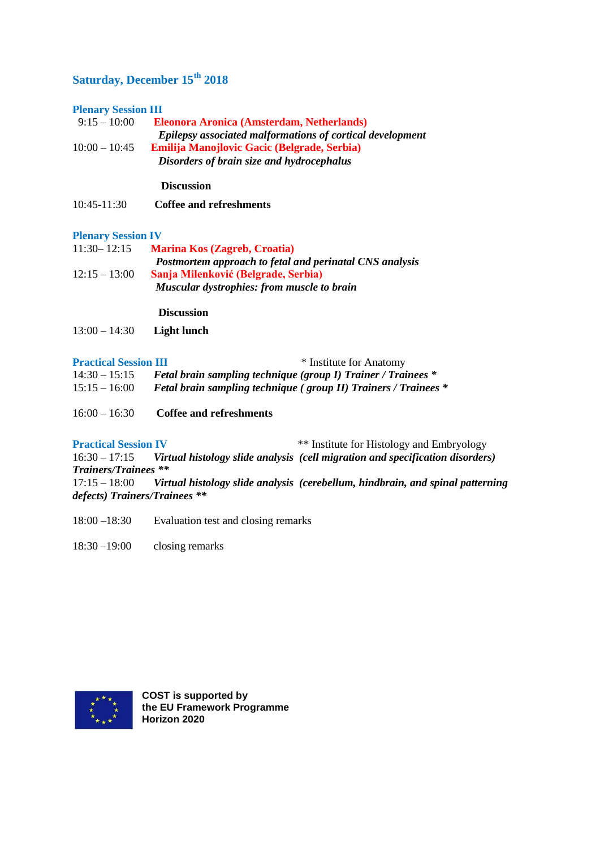# **Saturday, December 15th 2018**

### **Plenary Session III**

| $9:15-10:00$    | <b>Eleonora Aronica (Amsterdam, Netherlands)</b>                 |
|-----------------|------------------------------------------------------------------|
|                 | <b>Epilepsy associated malformations of cortical development</b> |
| $10:00 - 10:45$ | <b>Emilija Manojlovic Gacic (Belgrade, Serbia)</b>               |
|                 | Disorders of brain size and hydrocephalus                        |

### **Discussion**

| $10:45-11:30$ |  | Coffee and refreshments |
|---------------|--|-------------------------|
|---------------|--|-------------------------|

### **Plenary Session IV**

| $11:30 - 12:15$ | <b>Marina Kos (Zagreb, Croatia)</b>                     |
|-----------------|---------------------------------------------------------|
|                 | Postmortem approach to fetal and perinatal CNS analysis |
| $12:15 - 13:00$ | Sanja Milenković (Belgrade, Serbia)                     |
|                 | <b>Muscular dystrophies: from muscle to brain</b>       |

**Discussion**

13:00 – 14:30 **Light lunch**

### **Practical Session III** \* Institute for Anatomy

| 1 Tachcal Dession Inf | motitute for Amatomy                                                   |
|-----------------------|------------------------------------------------------------------------|
| $14:30 - 15:15$       | <b>Fetal brain sampling technique (group I) Trainer / Trainees *</b>   |
| $15:15 - 16:00$       | <b>Fetal brain sampling technique (group II) Trainers / Trainees *</b> |

16:00 – 16:30 **Coffee and refreshments**

**Practical Session IV** \*\* Institute for Histology and Embryology 16:30 – 17:15 Virtual histology slide analysis (cell migration and specification disorders Virtual histology slide analysis (cell migration and specification disorders) *Trainers/Trainees \*\**  17:15 – 18:00 *Virtual histology slide analysis (cerebellum, hindbrain, and spinal patterning defects) Trainers/Trainees \*\**

18:00 –18:30 Evaluation test and closing remarks

18:30 –19:00 closing remarks



**COST is supported by the EU Framework Programme Horizon 2020**